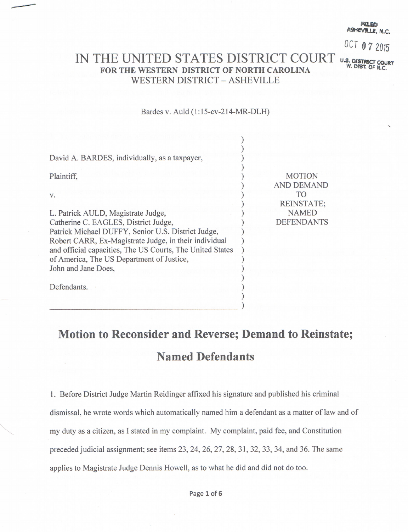VIILE N.C

OCT 07 2015

## IN THE UNITED STATES DISTRICT COURT U.S. DISTRICT COURT FOR THE WESTERN DISTRICT OF NORTH CAROLINA **WESTERN DISTRICT - ASHEVILLE**

## Bardes v. Auld (1:15-cv-214-MR-DLH)

| David A. BARDES, individually, as a taxpayer,             |                                    |
|-----------------------------------------------------------|------------------------------------|
| Plaintiff,                                                | <b>MOTION</b><br><b>AND DEMAND</b> |
| V.                                                        | TO<br><b>REINSTATE;</b>            |
| L. Patrick AULD, Magistrate Judge,                        | <b>NAMED</b>                       |
| Catherine C. EAGLES, District Judge,                      | <b>DEFENDANTS</b>                  |
| Patrick Michael DUFFY, Senior U.S. District Judge,        |                                    |
| Robert CARR, Ex-Magistrate Judge, in their individual     |                                    |
| and official capacities, The US Courts, The United States |                                    |
| of America, The US Department of Justice,                 |                                    |
| John and Jane Does,                                       |                                    |
| Defendants.                                               |                                    |
|                                                           |                                    |

## Motion to Reconsider and Reverse; Demand to Reinstate; **Named Defendants**

1. Before District Judge Martin Reidinger affixed his signature and published his criminal dismissal, he wrote words which automatically named him a defendant as a matter of law and of my duty as a citizen, as I stated in my complaint. My complaint, paid fee, and Constitution preceded judicial assignment; see items 23, 24, 26, 27, 28, 31, 32, 33, 34, and 36. The same applies to Magistrate Judge Dennis Howell, as to what he did and did not do too.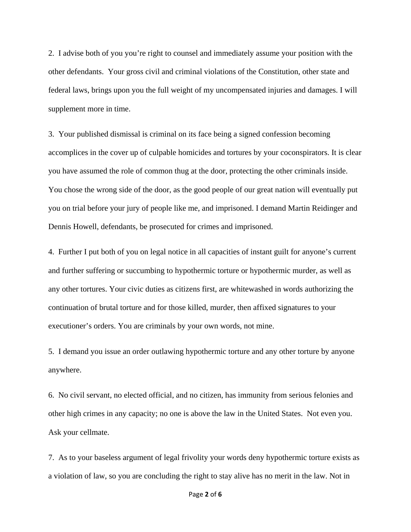2. I advise both of you you're right to counsel and immediately assume your position with the other defendants. Your gross civil and criminal violations of the Constitution, other state and federal laws, brings upon you the full weight of my uncompensated injuries and damages. I will supplement more in time.

3. Your published dismissal is criminal on its face being a signed confession becoming accomplices in the cover up of culpable homicides and tortures by your coconspirators. It is clear you have assumed the role of common thug at the door, protecting the other criminals inside. You chose the wrong side of the door, as the good people of our great nation will eventually put you on trial before your jury of people like me, and imprisoned. I demand Martin Reidinger and Dennis Howell, defendants, be prosecuted for crimes and imprisoned.

4. Further I put both of you on legal notice in all capacities of instant guilt for anyone's current and further suffering or succumbing to hypothermic torture or hypothermic murder, as well as any other tortures. Your civic duties as citizens first, are whitewashed in words authorizing the continuation of brutal torture and for those killed, murder, then affixed signatures to your executioner's orders. You are criminals by your own words, not mine.

5. I demand you issue an order outlawing hypothermic torture and any other torture by anyone anywhere.

6. No civil servant, no elected official, and no citizen, has immunity from serious felonies and other high crimes in any capacity; no one is above the law in the United States. Not even you. Ask your cellmate.

7. As to your baseless argument of legal frivolity your words deny hypothermic torture exists as a violation of law, so you are concluding the right to stay alive has no merit in the law. Not in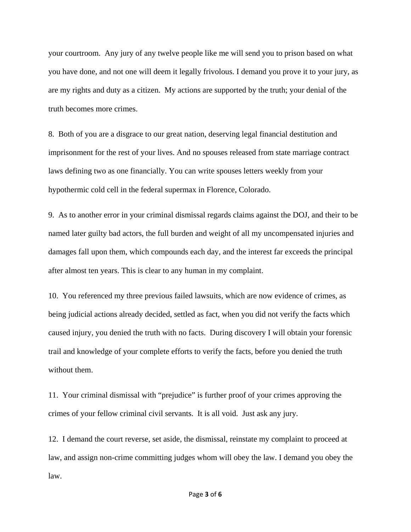your courtroom. Any jury of any twelve people like me will send you to prison based on what you have done, and not one will deem it legally frivolous. I demand you prove it to your jury, as are my rights and duty as a citizen. My actions are supported by the truth; your denial of the truth becomes more crimes.

8. Both of you are a disgrace to our great nation, deserving legal financial destitution and imprisonment for the rest of your lives. And no spouses released from state marriage contract laws defining two as one financially. You can write spouses letters weekly from your hypothermic cold cell in the federal supermax in Florence, Colorado.

9. As to another error in your criminal dismissal regards claims against the DOJ, and their to be named later guilty bad actors, the full burden and weight of all my uncompensated injuries and damages fall upon them, which compounds each day, and the interest far exceeds the principal after almost ten years. This is clear to any human in my complaint.

10. You referenced my three previous failed lawsuits, which are now evidence of crimes, as being judicial actions already decided, settled as fact, when you did not verify the facts which caused injury, you denied the truth with no facts. During discovery I will obtain your forensic trail and knowledge of your complete efforts to verify the facts, before you denied the truth without them.

11. Your criminal dismissal with "prejudice" is further proof of your crimes approving the crimes of your fellow criminal civil servants. It is all void. Just ask any jury.

12. I demand the court reverse, set aside, the dismissal, reinstate my complaint to proceed at law, and assign non-crime committing judges whom will obey the law. I demand you obey the law.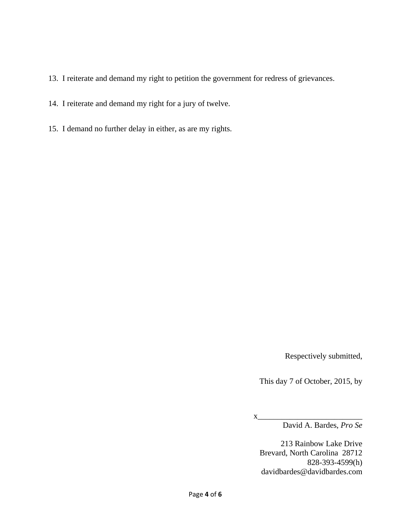- 13. I reiterate and demand my right to petition the government for redress of grievances.
- 14. I reiterate and demand my right for a jury of twelve.
- 15. I demand no further delay in either, as are my rights.

Respectively submitted,

This day 7 of October, 2015, by

x\_\_\_\_\_\_\_\_\_\_\_\_\_\_\_\_\_\_\_\_\_\_\_\_\_\_ David A. Bardes, *Pro Se* 

213 Rainbow Lake Drive Brevard, North Carolina 28712 828-393-4599(h) davidbardes@davidbardes.com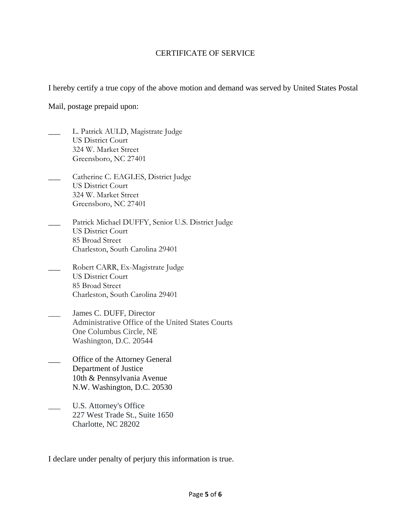## CERTIFICATE OF SERVICE

I hereby certify a true copy of the above motion and demand was served by United States Postal

Mail, postage prepaid upon:

- L. Patrick AULD, Magistrate Judge US District Court 324 W. Market Street Greensboro, NC 27401
- \_\_\_ Catherine C. EAGLES, District Judge US District Court 324 W. Market Street Greensboro, NC 27401
- Patrick Michael DUFFY, Senior U.S. District Judge US District Court 85 Broad Street Charleston, South Carolina 29401
- Robert CARR, Ex-Magistrate Judge US District Court 85 Broad Street Charleston, South Carolina 29401
- \_\_\_ James C. DUFF, Director Administrative Office of the United States Courts One Columbus Circle, NE Washington, D.C. 20544
- Office of the Attorney General Department of Justice 10th & Pennsylvania Avenue N.W. Washington, D.C. 20530
- U.S. Attorney's Office 227 West Trade St., Suite 1650 Charlotte, NC 28202

I declare under penalty of perjury this information is true.